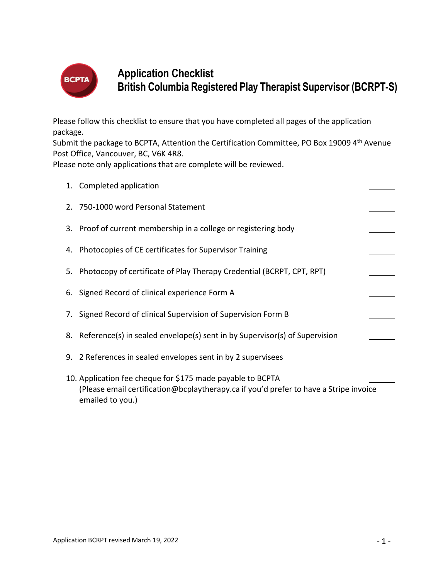

# **Application Checklist British Columbia Registered Play Therapist Supervisor (BCRPT-S)**

Please follow this checklist to ensure that you have completed all pages of the application package.

Submit the package to BCPTA, Attention the Certification Committee, PO Box 19009 4<sup>th</sup> Avenue Post Office, Vancouver, BC, V6K 4R8.

Please note only applications that are complete will be reviewed.

|    | 1. Completed application                                                                                                                                                |  |
|----|-------------------------------------------------------------------------------------------------------------------------------------------------------------------------|--|
|    | 2. 750-1000 word Personal Statement                                                                                                                                     |  |
|    | 3. Proof of current membership in a college or registering body                                                                                                         |  |
|    | 4. Photocopies of CE certificates for Supervisor Training                                                                                                               |  |
| 5. | Photocopy of certificate of Play Therapy Credential (BCRPT, CPT, RPT)                                                                                                   |  |
|    | 6. Signed Record of clinical experience Form A                                                                                                                          |  |
|    | 7. Signed Record of clinical Supervision of Supervision Form B                                                                                                          |  |
|    | 8. Reference(s) in sealed envelope(s) sent in by Supervisor(s) of Supervision                                                                                           |  |
|    | 9. 2 References in sealed envelopes sent in by 2 supervisees                                                                                                            |  |
|    | 10. Application fee cheque for \$175 made payable to BCPTA<br>(Please email certification@bcplaytherapy.ca if you'd prefer to have a Stripe invoice<br>emailed to you.) |  |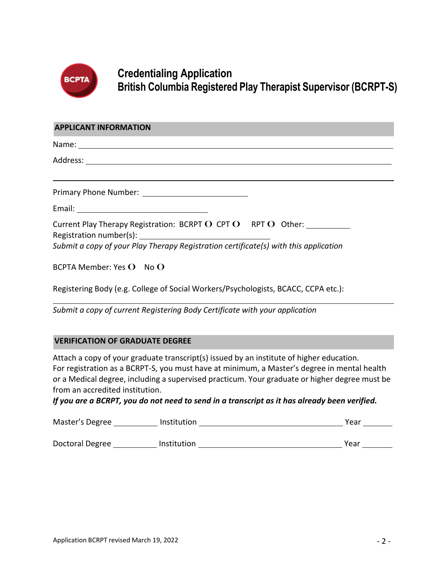

## **Credentialing Application British Columbia Registered Play Therapist Supervisor (BCRPT-S)**

#### **APPLICANT INFORMATION**

Name:

Address:

Primary Phone Number:

Email:

| Current Play Therapy Registration: BCRPT $O$ CPT $O$ RPT $O$ Other: |  |  |  |  |  |  |  |
|---------------------------------------------------------------------|--|--|--|--|--|--|--|
| Registration number(s):                                             |  |  |  |  |  |  |  |
|                                                                     |  |  |  |  |  |  |  |

*Submit a copy of your Play Therapy Registration certificate(s) with this application*

BCPTA Member: Yes  $O$  No  $O$ 

Registering Body (e.g. College of Social Workers/Psychologists, BCACC, CCPA etc.):

*Submit a copy of current Registering Body Certificate with your application*

### **VERIFICATION OF GRADUATE DEGREE**

Attach a copy of your graduate transcript(s) issued by an institute of higher education. For registration as a BCRPT-S, you must have at minimum, a Master's degree in mental health or a Medical degree, including a supervised practicum. Your graduate or higher degree must be from an accredited institution.

*If you are a BCRPT, you do not need to send in a transcript as it has already been verified.* 

| Master's Degree | Institution | Year |
|-----------------|-------------|------|
|                 |             |      |
| Doctoral Degree | Institution | Year |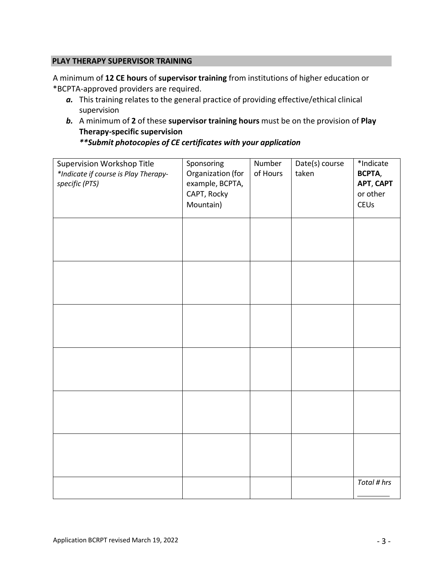### **PLAY THERAPY SUPERVISOR TRAINING**

A minimum of **12 CE hours** of **supervisor training** from institutions of higher education or \*BCPTA-approved providers are required.

- *a.* This training relates to the general practice of providing effective/ethical clinical supervision
- *b.* A minimum of **2** of these **supervisor training hours** must be on the provision of **Play Therapy-specific supervision**

*\*\*Submit photocopies of CE certificates with your application*

| Supervision Workshop Title<br>*Indicate if course is Play Therapy-<br>specific (PTS) | Sponsoring<br>Organization (for<br>example, BCPTA,<br>CAPT, Rocky<br>Mountain) | Number<br>of Hours | Date(s) course<br>taken | *Indicate<br>BCPTA,<br>APT, CAPT<br>or other<br><b>CEUs</b> |
|--------------------------------------------------------------------------------------|--------------------------------------------------------------------------------|--------------------|-------------------------|-------------------------------------------------------------|
|                                                                                      |                                                                                |                    |                         |                                                             |
|                                                                                      |                                                                                |                    |                         |                                                             |
|                                                                                      |                                                                                |                    |                         |                                                             |
|                                                                                      |                                                                                |                    |                         |                                                             |
|                                                                                      |                                                                                |                    |                         |                                                             |
|                                                                                      |                                                                                |                    |                         |                                                             |
|                                                                                      |                                                                                |                    |                         | Total # hrs                                                 |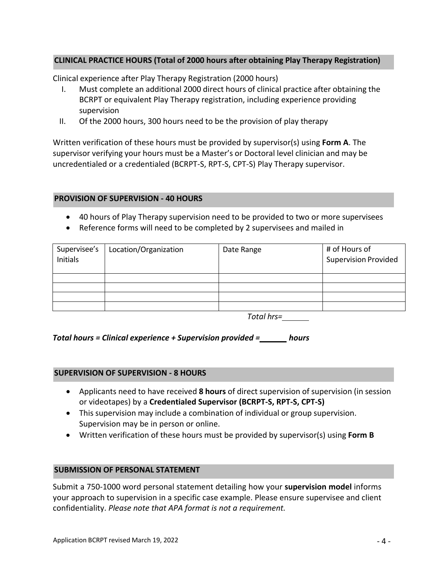### **CLINICAL PRACTICE HOURS (Total of 2000 hours after obtaining Play Therapy Registration)**

Clinical experience after Play Therapy Registration (2000 hours)

- I. Must complete an additional 2000 direct hours of clinical practice after obtaining the BCRPT or equivalent Play Therapy registration, including experience providing supervision
- II. Of the 2000 hours, 300 hours need to be the provision of play therapy

Written verification of these hours must be provided by supervisor(s) using **Form A**. The supervisor verifying your hours must be a Master's or Doctoral level clinician and may be uncredentialed or a credentialed (BCRPT-S, RPT-S, CPT-S) Play Therapy supervisor.

#### **PROVISION OF SUPERVISION - 40 HOURS**

- 40 hours of Play Therapy supervision need to be provided to two or more supervisees
- Reference forms will need to be completed by 2 supervisees and mailed in

| Supervisee's<br>Initials | Location/Organization | Date Range | # of Hours of<br><b>Supervision Provided</b> |
|--------------------------|-----------------------|------------|----------------------------------------------|
|                          |                       |            |                                              |
|                          |                       |            |                                              |
|                          |                       |            |                                              |
|                          |                       |            |                                              |
|                          |                       |            |                                              |

*Total hrs=*

### *Total hours = Clinical experience + Supervision provided = hours*

#### **SUPERVISION OF SUPERVISION - 8 HOURS**

- Applicants need to have received **8 hours** of direct supervision of supervision (in session or videotapes) by a **Credentialed Supervisor (BCRPT-S, RPT-S, CPT-S)**
- This supervision may include a combination of individual or group supervision. Supervision may be in person or online.
- Written verification of these hours must be provided by supervisor(s) using **Form B**

#### **SUBMISSION OF PERSONAL STATEMENT**

Submit a 750-1000 word personal statement detailing how your **supervision model** informs your approach to supervision in a specific case example. Please ensure supervisee and client confidentiality. *Please note that APA format is not a requirement.*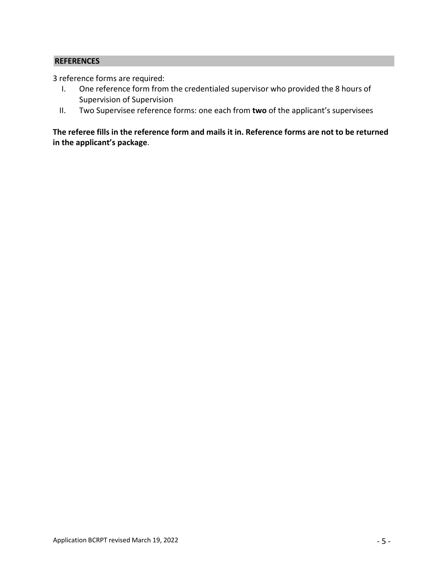### **REFERENCES**

3 reference forms are required:

- I. One reference form from the credentialed supervisor who provided the 8 hours of Supervision of Supervision
- II. Two Supervisee reference forms: one each from **two** of the applicant's supervisees

**The referee fills in the reference form and mails it in. Reference forms are not to be returned in the applicant's package**.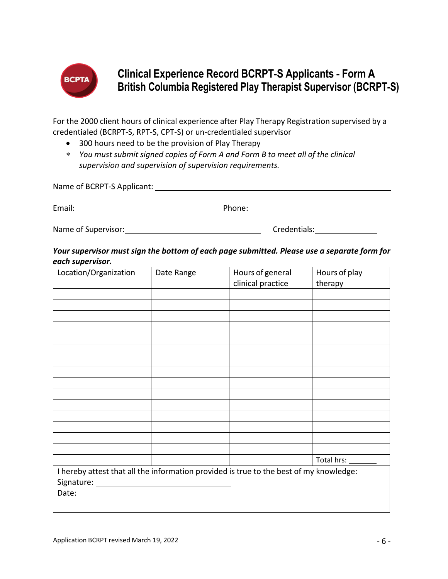

# **Clinical Experience Record BCRPT-S Applicants - Form A British Columbia Registered Play Therapist Supervisor (BCRPT-S)**

For the 2000 client hours of clinical experience after Play Therapy Registration supervised by a credentialed (BCRPT-S, RPT-S, CPT-S) or un-credentialed supervisor

- 300 hours need to be the provision of Play Therapy
- ∗ *You must submit signed copies of Form A and Form B to meet all of the clinical supervision and supervision of supervision requirements.*

| Name of BCRPT-S Applicant: |              |  |  |  |  |  |
|----------------------------|--------------|--|--|--|--|--|
| Email:                     | Phone:       |  |  |  |  |  |
| Name of Supervisor:        | Credentials: |  |  |  |  |  |

## *Your supervisor must sign the bottom of each page submitted. Please use a separate form for each supervisor.*

| Location/Organization                                                                  | Date Range | Hours of general<br>clinical practice | Hours of play<br>therapy |
|----------------------------------------------------------------------------------------|------------|---------------------------------------|--------------------------|
|                                                                                        |            |                                       |                          |
|                                                                                        |            |                                       |                          |
|                                                                                        |            |                                       |                          |
|                                                                                        |            |                                       |                          |
|                                                                                        |            |                                       |                          |
|                                                                                        |            |                                       |                          |
|                                                                                        |            |                                       |                          |
|                                                                                        |            |                                       |                          |
|                                                                                        |            |                                       |                          |
|                                                                                        |            |                                       |                          |
|                                                                                        |            |                                       |                          |
|                                                                                        |            |                                       |                          |
|                                                                                        |            |                                       |                          |
|                                                                                        |            |                                       |                          |
|                                                                                        |            |                                       |                          |
|                                                                                        |            |                                       | Total hrs: ____          |
| I hereby attest that all the information provided is true to the best of my knowledge: |            |                                       |                          |
|                                                                                        |            |                                       |                          |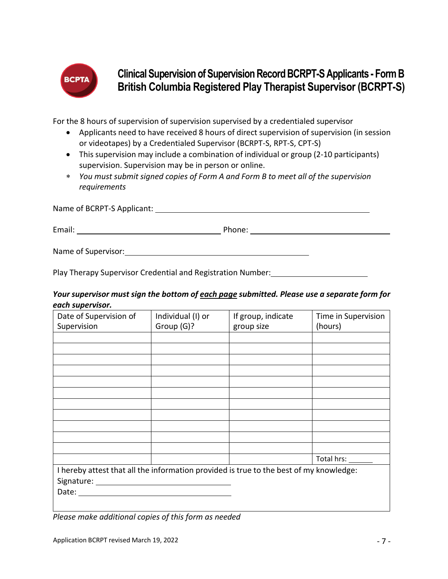

# **Clinical Supervision of Supervision Record BCRPT-S Applicants - Form B British Columbia Registered Play Therapist Supervisor (BCRPT-S)**

For the 8 hours of supervision of supervision supervised by a credentialed supervisor

- Applicants need to have received 8 hours of direct supervision of supervision (in session or videotapes) by a Credentialed Supervisor (BCRPT-S, RPT-S, CPT-S)
- This supervision may include a combination of individual or group (2-10 participants) supervision. Supervision may be in person or online.
- ∗ *You must submit signed copies of Form A and Form B to meet all of the supervision requirements*

Name of BCRPT-S Applicant:

Email: Phone: Phone: Phone: Phone: Phone: Phone: Phone: Phone: Phone: Phone: Phone: Phone: Phone: Phone: Phone: Phone: Phone: Phone: Phone: Phone: Phone: Phone: Phone: Phone: Phone: Phone: Phone: Phone: Phone: Phone: Phone

Name of Supervisor:

Play Therapy Supervisor Credential and Registration Number: 1992 1994 1994

## *Your supervisor must sign the bottom of each page submitted. Please use a separate form for each supervisor.*

| Date of Supervision of<br>Supervision                                                  | Individual (I) or<br>Group (G)? | If group, indicate<br>group size | Time in Supervision<br>(hours) |
|----------------------------------------------------------------------------------------|---------------------------------|----------------------------------|--------------------------------|
|                                                                                        |                                 |                                  |                                |
|                                                                                        |                                 |                                  |                                |
|                                                                                        |                                 |                                  |                                |
|                                                                                        |                                 |                                  |                                |
|                                                                                        |                                 |                                  |                                |
|                                                                                        |                                 |                                  |                                |
|                                                                                        |                                 |                                  |                                |
|                                                                                        |                                 |                                  |                                |
|                                                                                        |                                 |                                  |                                |
|                                                                                        |                                 |                                  |                                |
|                                                                                        |                                 |                                  |                                |
|                                                                                        |                                 |                                  | Total hrs: _______             |
| I hereby attest that all the information provided is true to the best of my knowledge: |                                 |                                  |                                |
|                                                                                        |                                 |                                  |                                |
|                                                                                        |                                 |                                  |                                |
|                                                                                        |                                 |                                  |                                |

*Please make additional copies of this form as needed*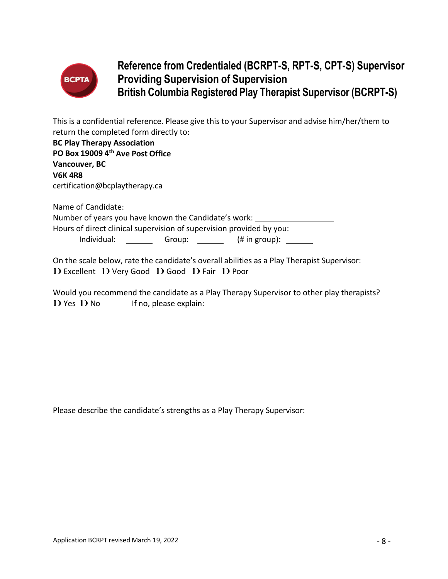

# **Reference from Credentialed (BCRPT-S, RPT-S, CPT-S) Supervisor Providing Supervision of Supervision British Columbia Registered Play Therapist Supervisor (BCRPT-S)**

This is a confidential reference. Please give this to your Supervisor and advise him/her/them to return the completed form directly to:

| <b>BC Play Therapy Association</b>                                   |  |
|----------------------------------------------------------------------|--|
| PO Box 19009 4th Ave Post Office                                     |  |
| Vancouver, BC                                                        |  |
| <b>V6K4R8</b>                                                        |  |
| certification@bcplaytherapy.ca                                       |  |
| Name of Candidate:                                                   |  |
| Number of years you have known the Candidate's work:                 |  |
| Hours of direct clinical supervision of supervision provided by you: |  |

Individual: Group: (# in group):

On the scale below, rate the candidate's overall abilities as a Play Therapist Supervisor: D Excellent D Very Good D Good D Fair D Poor

Would you recommend the candidate as a Play Therapy Supervisor to other play therapists?  $\bf{D}$  Yes  $\bf{D}$  No If no, please explain:

Please describe the candidate's strengths as a Play Therapy Supervisor: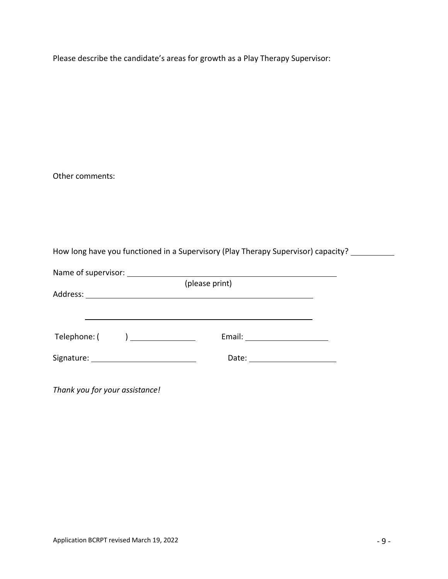Please describe the candidate's areas for growth as a Play Therapy Supervisor:

Other comments:

How long have you functioned in a Supervisory (Play Therapy Supervisor) capacity? \_\_\_\_\_\_\_\_\_\_

| Name of supervisor:            |                                 |  |
|--------------------------------|---------------------------------|--|
|                                | (please print)                  |  |
|                                |                                 |  |
|                                |                                 |  |
|                                |                                 |  |
|                                |                                 |  |
| Telephone: ( ) _______________ | Email: ________________________ |  |
|                                |                                 |  |
|                                |                                 |  |
|                                |                                 |  |

*Thank you for your assistance!*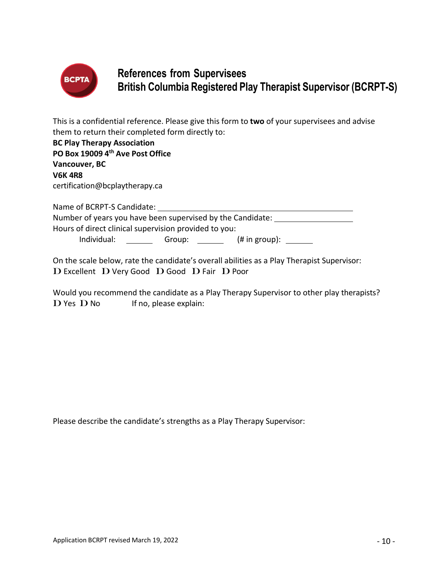

## **References from Supervisees British Columbia Registered Play Therapist Supervisor (BCRPT-S)**

This is a confidential reference. Please give this form to **two** of your supervisees and advise them to return their completed form directly to:

| <b>BC Play Therapy Association</b>                         |  |
|------------------------------------------------------------|--|
| PO Box 19009 4th Ave Post Office                           |  |
| Vancouver, BC                                              |  |
| <b>V6K4R8</b>                                              |  |
| certification@bcplaytherapy.ca                             |  |
| Name of BCRPT-S Candidate:                                 |  |
| Number of years you have been supervised by the Candidate: |  |
| Hours of direct clinical supervision provided to you:      |  |

Individual: Group: (# in group):

On the scale below, rate the candidate's overall abilities as a Play Therapist Supervisor: D Excellent D Very Good D Good D Fair D Poor

Would you recommend the candidate as a Play Therapy Supervisor to other play therapists?  $\mathbf D$  Yes  $\mathbf D$  No If no, please explain:

Please describe the candidate's strengths as a Play Therapy Supervisor: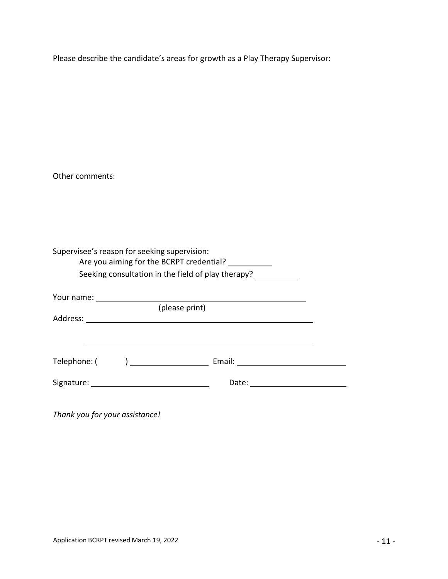Please describe the candidate's areas for growth as a Play Therapy Supervisor:

Other comments:

| Supervisee's reason for seeking supervision: | Are you aiming for the BCRPT credential?<br>Seeking consultation in the field of play therapy? ___________                                                                                                                     |  |
|----------------------------------------------|--------------------------------------------------------------------------------------------------------------------------------------------------------------------------------------------------------------------------------|--|
|                                              |                                                                                                                                                                                                                                |  |
|                                              | (please print)                                                                                                                                                                                                                 |  |
|                                              |                                                                                                                                                                                                                                |  |
|                                              |                                                                                                                                                                                                                                |  |
|                                              | Telephone: ( ) and Email: Email:                                                                                                                                                                                               |  |
|                                              | Date: the contract of the contract of the contract of the contract of the contract of the contract of the contract of the contract of the contract of the contract of the contract of the contract of the contract of the cont |  |
|                                              |                                                                                                                                                                                                                                |  |

*Thank you for your assistance!*

 $\overline{\phantom{0}}$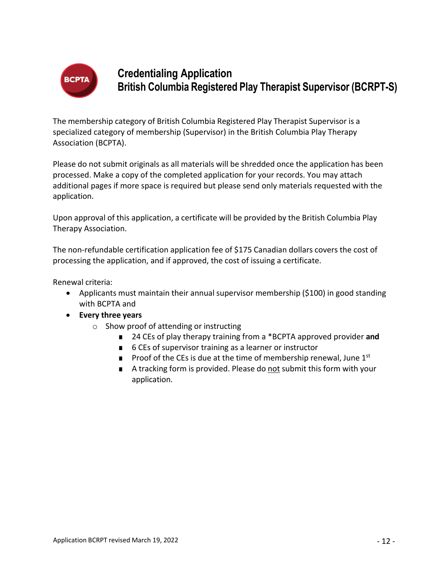

# **Credentialing Application British Columbia Registered Play Therapist Supervisor (BCRPT-S)**

The membership category of British Columbia Registered Play Therapist Supervisor is a specialized category of membership (Supervisor) in the British Columbia Play Therapy Association (BCPTA).

Please do not submit originals as all materials will be shredded once the application has been processed. Make a copy of the completed application for your records. You may attach additional pages if more space is required but please send only materials requested with the application.

Upon approval of this application, a certificate will be provided by the British Columbia Play Therapy Association.

The non-refundable certification application fee of \$175 Canadian dollars covers the cost of processing the application, and if approved, the cost of issuing a certificate.

Renewal criteria:

- Applicants must maintain their annual supervisor membership (\$100) in good standing with BCPTA and
- **Every three years**
	- o Show proof of attending or instructing
		- 24 CEs of play therapy training from a \*BCPTA approved provider and
		- 6 CEs of supervisor training as a learner or instructor
		- **■** Proof of the CEs is due at the time of membership renewal, June  $1<sup>st</sup>$
		- A tracking form is provided. Please do not submit this form with your application.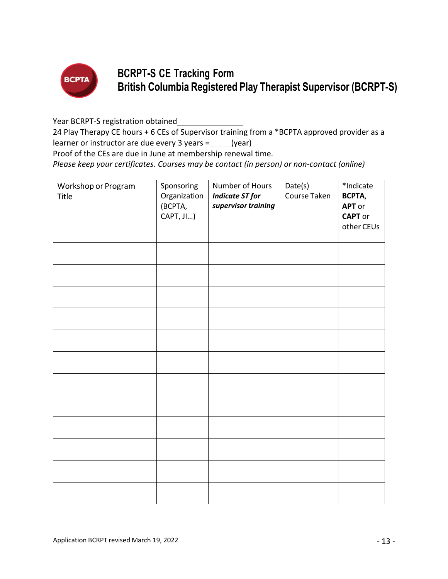

# **BCRPT-S CE Tracking Form British Columbia Registered Play Therapist Supervisor (BCRPT-S)**

Year BCRPT-S registration obtained

24 Play Therapy CE hours + 6 CEs of Supervisor training from a \*BCPTA approved provider as a learner or instructor are due every 3 years =  $(year)$ 

Proof of the CEs are due in June at membership renewal time.

*Please keep your certificates*. *Courses may be contact (in person) or non-contact (online)*

| Workshop or Program<br>Title | Sponsoring<br>Organization<br>(BCPTA,<br>CAPT, JI) | Number of Hours<br><b>Indicate ST for</b><br>supervisor training | Date(s)<br>Course Taken | *Indicate<br>BCPTA,<br><b>APT</b> or<br><b>CAPT</b> or<br>other CEUs |
|------------------------------|----------------------------------------------------|------------------------------------------------------------------|-------------------------|----------------------------------------------------------------------|
|                              |                                                    |                                                                  |                         |                                                                      |
|                              |                                                    |                                                                  |                         |                                                                      |
|                              |                                                    |                                                                  |                         |                                                                      |
|                              |                                                    |                                                                  |                         |                                                                      |
|                              |                                                    |                                                                  |                         |                                                                      |
|                              |                                                    |                                                                  |                         |                                                                      |
|                              |                                                    |                                                                  |                         |                                                                      |
|                              |                                                    |                                                                  |                         |                                                                      |
|                              |                                                    |                                                                  |                         |                                                                      |
|                              |                                                    |                                                                  |                         |                                                                      |
|                              |                                                    |                                                                  |                         |                                                                      |
|                              |                                                    |                                                                  |                         |                                                                      |